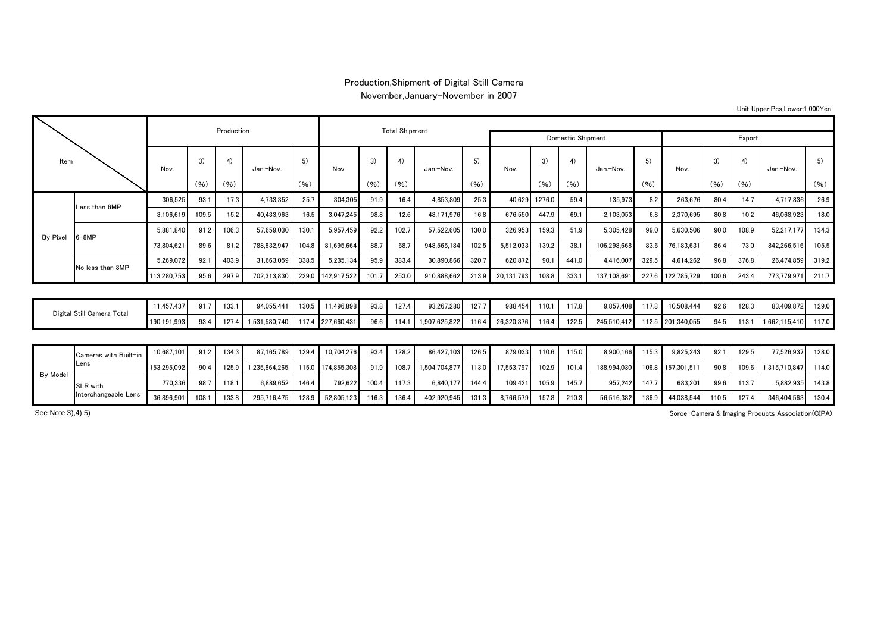## Production,Shipment of Digital Still Camera

November,January-November in 2007

Unit Upper:Pcs,Lower:1,000Yen

| Item                       |                       |             |       | Production |               |       |                   | <b>Total Shipment</b> |       |               |        |            |        |       |             |       |                   |       |       |               |       |
|----------------------------|-----------------------|-------------|-------|------------|---------------|-------|-------------------|-----------------------|-------|---------------|--------|------------|--------|-------|-------------|-------|-------------------|-------|-------|---------------|-------|
|                            |                       |             |       |            |               |       |                   | Domestic Shipment     |       |               | Export |            |        |       |             |       |                   |       |       |               |       |
|                            |                       | Nov.        | 3)    | 4)         | Jan.-Nov.     | 5)    | Nov.              | 3)                    | 4)    | Jan.-Nov.     | 5)     | Nov.       | 3)     | 4)    | Jan.-Nov.   |       | Nov.              | 3)    | 4)    | Jan.-Nov.     | 5)    |
|                            |                       |             | (96)  | (96)       |               | (96)  |                   | (96)                  | (96)  |               | (96)   |            | (96)   | (96)  |             | (96)  |                   | (96)  | (96)  |               | (96)  |
| By Pixel                   | Less than 6MP         | 306.525     | 93.1  | 17.3       | 4,733,352     | 25.7  | 304.305           | 91.9                  | 16.4  | 4.853.809     | 25.3   | 40.629     | 1276.0 | 59.4  | 135.973     | 8.2   | 263,676           | 80.4  | 14.7  | 4.717.836     | 26.9  |
|                            |                       | 3.106.619   | 109.5 | 15.2       | 40,433,963    | 16.5  | 3,047,245         | 98.8                  | 12.6  | 48,171,976    | 16.8   | 676.550    | 447.9  | 69.1  | 2,103,053   | 6.8   | 2.370.695         | 80.8  | 10.2  | 46.068.923    | 18.0  |
|                            | $6 - 8MP$             | 5.881.840   | 91.2  | 106.3      | 57,659,030    | 130.1 | 5.957.459         | 92.2                  | 102.7 | 57.522.605    | 130.0  | 326.953    | 159.3  | 51.9  | 5.305.428   | 99.0  | 5,630,506         | 90.0  | 108.9 | 52.217.177    | 134.3 |
|                            |                       | 73.804.62   | 89.6  | 81.2       | 788,832,947   | 104.8 | 81,695,664        | 88.7                  | 68.7  | 948.565.184   | 102.5  | 5,512,033  | 139.2  | 38.1  | 106,298,668 | 83.6  | 76,183,631        | 86.4  | 73.0  | 842.266.516   | 105.5 |
|                            | No less than 8MP      | 5.269.072   | 92.1  | 403.9      | 31.663.059    | 338.5 | 5.235.134         | 95.9                  | 383.4 | 30.890.866    | 320.7  | 620.872    | 90.1   | 441.0 | 4.416.007   | 329.  | 4.614.262         | 96.8  | 376.8 | 26.474.859    | 319.2 |
|                            |                       | 113,280,753 | 95.6  | 297.9      | 702.313.830   | 229.0 | 142,917,522       | 101.7                 | 253.0 | 910.888.662   | 213.9  | 20,131,793 | 108.8  | 333.1 | 137.108.69  | 227.6 | 122,785,729       | 100.6 | 243.4 | 773,779,971   | 211.7 |
|                            |                       |             |       |            |               |       |                   |                       |       |               |        |            |        |       |             |       |                   |       |       |               |       |
| Digital Still Camera Total |                       | 11.457.437  | 91.7  | 133.1      | 94,055,441    | 130.5 | 11,496,898        | 93.8                  | 127.4 | 93,267,280    | 127.7  | 988,454    | 110.1  | 117.8 | 9,857,408   | 117.8 | 10,508,444        | 92.6  | 128.3 | 83,409,872    | 129.0 |
|                            |                       | 190,191,993 | 93.4  | 127.4      | 1,531,580,740 |       | 117.4 227.660.431 | 96.6                  | 114.  | 1.907.625.822 | 116.4  | 26,320,376 | 116.4  | 122.5 | 245,510,412 |       | 112.5 201.340.055 | 94.5  | 113.7 | 662,115,410   | 117.0 |
|                            |                       |             |       |            |               |       |                   |                       |       |               |        |            |        |       |             |       |                   |       |       |               |       |
| By Model                   | Cameras with Built-in | 10,687,101  | 91.2  | 134.3      | 87.165.789    | 129.4 | 10,704,276        | 93.4                  | 128.2 | 86.427.103    | 126.5  | 879.033    | 110.6  | 115.0 | 8.900.166   | 115.3 | 9,825,243         | 92.1  | 129.5 | 77,526,937    | 128.0 |
|                            | Lens                  | 153.295.092 | 90.4  | 125.9      | 1.235.864.265 |       | 115.0 174.855.308 | 91.9                  | 108.7 | 1.504.704.877 | 113.0  | 17,553,797 | 102.9  | 101.4 | 188.994.030 |       | 106.8 157.301.511 | 90.8  | 109.6 | 1.315.710.847 | 114.0 |
|                            | <b>SLR</b> with       | 770,336     | 98.7  | 118.1      | 6,889,652     | 146.4 | 792,622           | 100.4                 | 117.3 | 6.840.177     | 144.4  | 109,421    | 105.9  | 145.7 | 957.242     | 147.7 | 683,20            | 99.6  | 113.7 | 5,882,935     | 143.8 |

36,896,901 108.1 133.8 295,716,475 128.9 52,805,123 116.3 136.4 402,920,945 131.3 8,766,579 157.8 210.3 56,516,382 136.9 44,038,544 110.5 127.4 346,404,563 130.4

Sorce:Camera & Imaging Products Association(CIPA)

See Note 3),4),5)

Interchangeable Lens